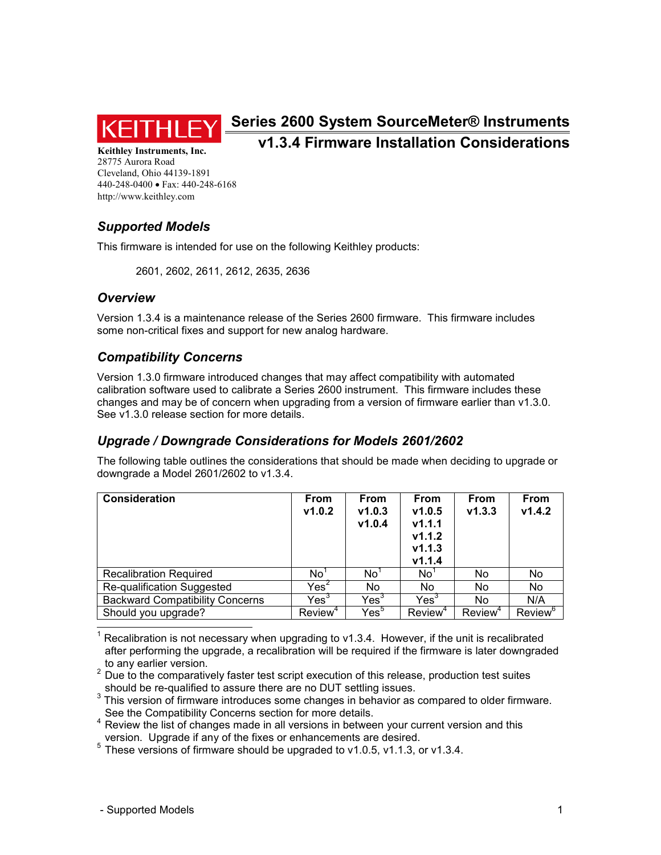

# **Series 2600 System SourceMeter® Instruments v1.3.4 Firmware Installation Considerations**

**Keithley Instruments, Inc.**  28775 Aurora Road Cleveland, Ohio 44139-1891 440-248-0400 • Fax: 440-248-6168 http://www.keithley.com

## *Supported Models*

This firmware is intended for use on the following Keithley products:

2601, 2602, 2611, 2612, 2635, 2636

#### *Overview*

Version 1.3.4 is a maintenance release of the Series 2600 firmware. This firmware includes some non-critical fixes and support for new analog hardware.

#### *Compatibility Concerns*

Version 1.3.0 firmware introduced changes that may affect compatibility with automated calibration software used to calibrate a Series 2600 instrument. This firmware includes these changes and may be of concern when upgrading from a version of firmware earlier than v1.3.0. See v1.3.0 release section for more details.

### *Upgrade / Downgrade Considerations for Models 2601/2602*

The following table outlines the considerations that should be made when deciding to upgrade or downgrade a Model 2601/2602 to v1.3.4.

| <b>Consideration</b>                   | <b>From</b><br>v1.0.2 | <b>From</b><br>V1.0.3<br>v1.0.4 | From<br>v1.0.5<br>v1.1.1<br>v1.1.2<br>v1.1.3<br>v1.1.4 | <b>From</b><br>v1.3.3 | <b>From</b><br>V1.4.2 |
|----------------------------------------|-----------------------|---------------------------------|--------------------------------------------------------|-----------------------|-----------------------|
| <b>Recalibration Required</b>          | No'                   | No'                             | No'                                                    | No.                   | No.                   |
| Re-qualification Suggested             | $\mathsf{Yes}^2$      | No.                             | No                                                     | No                    | No                    |
| <b>Backward Compatibility Concerns</b> | $\mathsf{Yes}^3$      | Yes <sup>3</sup>                | Yes <sup>3</sup>                                       | No                    | N/A                   |
| Should you upgrade?                    | Review <sup>4</sup>   | Yes <sup>5</sup>                | Review <sup>4</sup>                                    | Review <sup>4</sup>   | Review <sup>6</sup>   |

 $\overline{\phantom{a}}$ 1 Recalibration is not necessary when upgrading to v1.3.4. However, if the unit is recalibrated after performing the upgrade, a recalibration will be required if the firmware is later downgraded to any earlier version.

 $2$  Due to the comparatively faster test script execution of this release, production test suites should be re-qualified to assure there are no DUT settling issues.

 $3$  This version of firmware introduces some changes in behavior as compared to older firmware. See the Compatibility Concerns section for more details.

<sup>4</sup> Review the list of changes made in all versions in between your current version and this version. Upgrade if any of the fixes or enhancements are desired.

 $5$  These versions of firmware should be upgraded to v1.0.5, v1.1.3, or v1.3.4.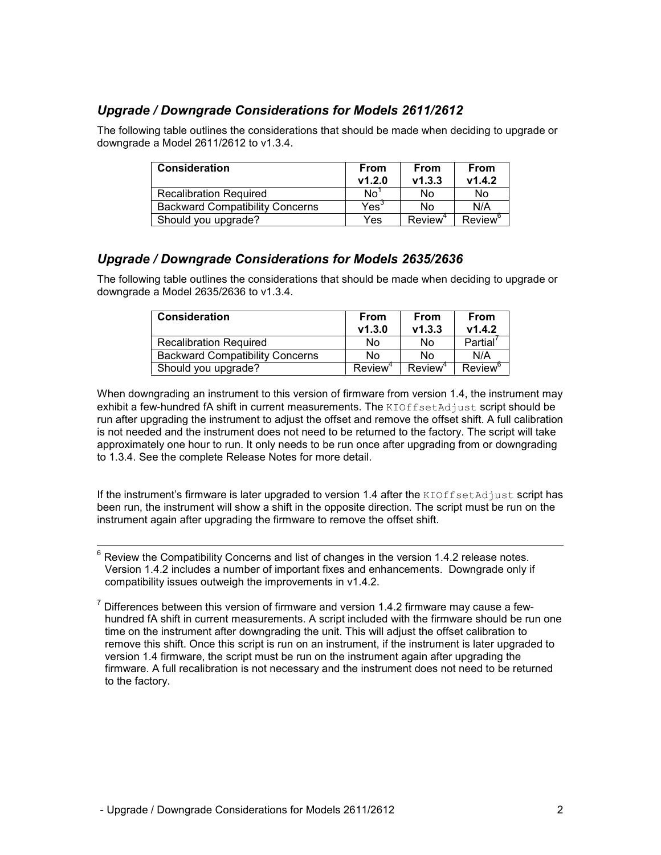#### *Upgrade / Downgrade Considerations for Models 2611/2612*

The following table outlines the considerations that should be made when deciding to upgrade or downgrade a Model 2611/2612 to v1.3.4.

| <b>Consideration</b>                   | From<br>v1.2.0   | From<br>V1.3.3      | <b>From</b><br>V1.4.2 |
|----------------------------------------|------------------|---------------------|-----------------------|
| <b>Recalibration Required</b>          | N <sub>0</sub>   | No                  | No                    |
| <b>Backward Compatibility Concerns</b> | $\mathsf{Yes}^3$ | No                  | N/A                   |
| Should you upgrade?                    | Yes              | Review <sup>4</sup> | Review <sup>6</sup>   |

#### *Upgrade / Downgrade Considerations for Models 2635/2636*

The following table outlines the considerations that should be made when deciding to upgrade or downgrade a Model 2635/2636 to v1.3.4.

| <b>Consideration</b>                   | From<br>V1.3.0      | From<br>V1.3.3      | <b>From</b><br>V1.4.2      |
|----------------------------------------|---------------------|---------------------|----------------------------|
| <b>Recalibration Required</b>          | No                  | No                  | Partial'                   |
| <b>Backward Compatibility Concerns</b> | No                  | N٥                  | N/A                        |
| Should you upgrade?                    | Review <sup>4</sup> | Review <sup>4</sup> | <b>Review</b> <sup>o</sup> |

When downgrading an instrument to this version of firmware from version 1.4, the instrument may exhibit a few-hundred fA shift in current measurements. The KIOffsetAdjust script should be run after upgrading the instrument to adjust the offset and remove the offset shift. A full calibration is not needed and the instrument does not need to be returned to the factory. The script will take approximately one hour to run. It only needs to be run once after upgrading from or downgrading to 1.3.4. See the complete Release Notes for more detail.

If the instrument's firmware is later upgraded to version 1.4 after the KIOffsetAdjust script has been run, the instrument will show a shift in the opposite direction. The script must be run on the instrument again after upgrading the firmware to remove the offset shift.

 6 Review the Compatibility Concerns and list of changes in the version 1.4.2 release notes. Version 1.4.2 includes a number of important fixes and enhancements. Downgrade only if compatibility issues outweigh the improvements in v1.4.2.

<sup>7</sup> Differences between this version of firmware and version 1.4.2 firmware may cause a fewhundred fA shift in current measurements. A script included with the firmware should be run one time on the instrument after downgrading the unit. This will adjust the offset calibration to remove this shift. Once this script is run on an instrument, if the instrument is later upgraded to version 1.4 firmware, the script must be run on the instrument again after upgrading the firmware. A full recalibration is not necessary and the instrument does not need to be returned to the factory.